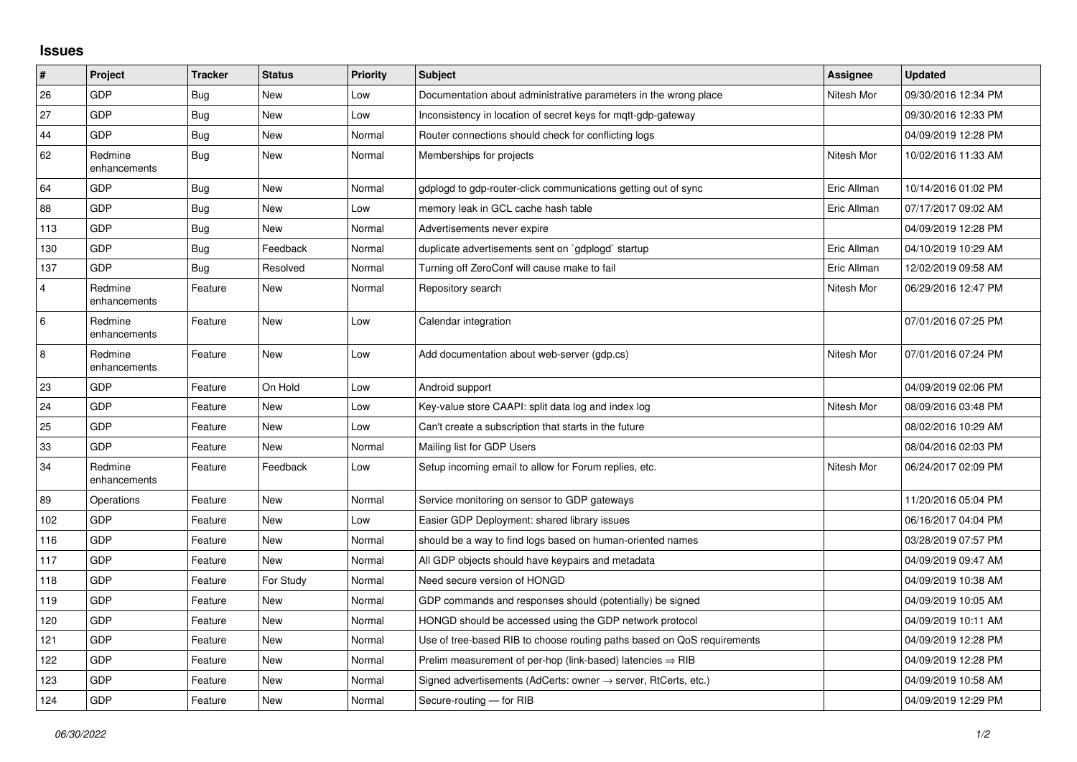## **Issues**

| $\vert$ #      | <b>Project</b>          | <b>Tracker</b> | <b>Status</b> | <b>Priority</b> | <b>Subject</b>                                                          | Assignee    | <b>Updated</b>      |
|----------------|-------------------------|----------------|---------------|-----------------|-------------------------------------------------------------------------|-------------|---------------------|
| 26             | GDP                     | Bug            | <b>New</b>    | Low             | Documentation about administrative parameters in the wrong place        | Nitesh Mor  | 09/30/2016 12:34 PM |
| 27             | GDP                     | <b>Bug</b>     | New           | Low             | Inconsistency in location of secret keys for mgtt-gdp-gateway           |             | 09/30/2016 12:33 PM |
| 44             | GDP                     | <b>Bug</b>     | New           | Normal          | Router connections should check for conflicting logs                    |             | 04/09/2019 12:28 PM |
| 62             | Redmine<br>enhancements | Bug            | New           | Normal          | Memberships for projects                                                | Nitesh Mor  | 10/02/2016 11:33 AM |
| 64             | GDP                     | Bug            | New           | Normal          | gdplogd to gdp-router-click communications getting out of sync          | Eric Allman | 10/14/2016 01:02 PM |
| 88             | GDP                     | Bug            | <b>New</b>    | Low             | memory leak in GCL cache hash table                                     | Eric Allman | 07/17/2017 09:02 AM |
| 113            | GDP                     | <b>Bug</b>     | <b>New</b>    | Normal          | Advertisements never expire                                             |             | 04/09/2019 12:28 PM |
| 130            | GDP                     | <b>Bug</b>     | Feedback      | Normal          | duplicate advertisements sent on `gdplogd` startup                      | Eric Allman | 04/10/2019 10:29 AM |
| 137            | GDP                     | Bug            | Resolved      | Normal          | Turning off ZeroConf will cause make to fail                            | Eric Allman | 12/02/2019 09:58 AM |
| $\overline{4}$ | Redmine<br>enhancements | Feature        | New           | Normal          | Repository search                                                       | Nitesh Mor  | 06/29/2016 12:47 PM |
| 6              | Redmine<br>enhancements | Feature        | <b>New</b>    | Low             | Calendar integration                                                    |             | 07/01/2016 07:25 PM |
| 8              | Redmine<br>enhancements | Feature        | New           | Low             | Add documentation about web-server (gdp.cs)                             | Nitesh Mor  | 07/01/2016 07:24 PM |
| 23             | GDP                     | Feature        | On Hold       | Low             | Android support                                                         |             | 04/09/2019 02:06 PM |
| 24             | GDP                     | Feature        | <b>New</b>    | Low             | Key-value store CAAPI: split data log and index log                     | Nitesh Mor  | 08/09/2016 03:48 PM |
| 25             | GDP                     | Feature        | New           | Low             | Can't create a subscription that starts in the future                   |             | 08/02/2016 10:29 AM |
| 33             | GDP                     | Feature        | New           | Normal          | Mailing list for GDP Users                                              |             | 08/04/2016 02:03 PM |
| 34             | Redmine<br>enhancements | Feature        | Feedback      | Low             | Setup incoming email to allow for Forum replies, etc.                   | Nitesh Mor  | 06/24/2017 02:09 PM |
| 89             | Operations              | Feature        | <b>New</b>    | Normal          | Service monitoring on sensor to GDP gateways                            |             | 11/20/2016 05:04 PM |
| 102            | GDP                     | Feature        | New           | Low             | Easier GDP Deployment: shared library issues                            |             | 06/16/2017 04:04 PM |
| 116            | GDP                     | Feature        | <b>New</b>    | Normal          | should be a way to find logs based on human-oriented names              |             | 03/28/2019 07:57 PM |
| 117            | GDP                     | Feature        | <b>New</b>    | Normal          | All GDP objects should have keypairs and metadata                       |             | 04/09/2019 09:47 AM |
| 118            | GDP                     | Feature        | For Study     | Normal          | Need secure version of HONGD                                            |             | 04/09/2019 10:38 AM |
| 119            | GDP                     | Feature        | New           | Normal          | GDP commands and responses should (potentially) be signed               |             | 04/09/2019 10:05 AM |
| 120            | GDP                     | Feature        | New           | Normal          | HONGD should be accessed using the GDP network protocol                 |             | 04/09/2019 10:11 AM |
| 121            | GDP                     | Feature        | New           | Normal          | Use of tree-based RIB to choose routing paths based on QoS requirements |             | 04/09/2019 12:28 PM |
| 122            | GDP                     | Feature        | New           | Normal          | Prelim measurement of per-hop (link-based) latencies $\Rightarrow$ RIB  |             | 04/09/2019 12:28 PM |
| 123            | GDP                     | Feature        | New           | Normal          | Signed advertisements (AdCerts: owner → server, RtCerts, etc.)          |             | 04/09/2019 10:58 AM |
| 124            | GDP                     | Feature        | New           | Normal          | Secure-routing - for RIB                                                |             | 04/09/2019 12:29 PM |